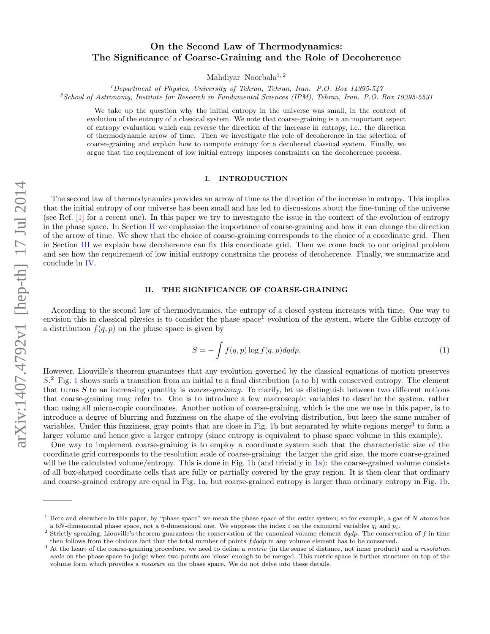# On the Second Law of Thermodynamics: The Significance of Coarse-Graining and the Role of Decoherence

Mahdiyar Noorbala<sup>1,2</sup>

 $1$ Department of Physics, University of Tehran, Tehran, Iran. P.O. Box 14395-547

<sup>2</sup>School of Astronomy, Institute for Research in Fundamental Sciences (IPM), Tehran, Iran. P.O. Box 19395-5531

We take up the question why the initial entropy in the universe was small, in the context of evolution of the entropy of a classical system. We note that coarse-graining is a an important aspect of entropy evaluation which can reverse the direction of the increase in entropy, i.e., the direction of thermodynamic arrow of time. Then we investigate the role of decoherence in the selection of coarse-graining and explain how to compute entropy for a decohered classical system. Finally, we argue that the requirement of low initial entropy imposes constraints on the decoherence process.

#### I. INTRODUCTION

The second law of thermodynamics provides an arrow of time as the direction of the increase in entropy. This implies that the initial entropy of our universe has been small and has led to discussions about the fine-tuning of the universe (see Ref. [\[1\]](#page-3-0) for a recent one). In this paper we try to investigate the issue in the context of the evolution of entropy in the phase space. In Section [II](#page-0-0) we emphasize the importance of coarse-graining and how it can change the direction of the arrow of time. We show that the choice of coarse-graining corresponds to the choice of a coordinate grid. Then in Section [III](#page-2-0) we explain how decoherence can fix this coordinate grid. Then we come back to our original problem and see how the requirement of low initial entropy constrains the process of decoherence. Finally, we summarize and conclude in [IV.](#page-3-1)

## <span id="page-0-0"></span>II. THE SIGNIFICANCE OF COARSE-GRAINING

According to the second law of thermodynamics, the entropy of a closed system increases with time. One way to envision this in classical physics is to consider the phase  $space<sup>1</sup>$  evolution of the system, where the Gibbs entropy of a distribution  $f(q, p)$  on the phase space is given by

$$
S = -\int f(q, p) \log f(q, p) dq dp.
$$
 (1)

However, Liouville's theorem guarantees that any evolution governed by the classical equations of motion preserves S. <sup>2</sup> Fig. [1](#page-1-0) shows such a transition from an initial to a final distribution (a to b) with conserved entropy. The element that turns  $S$  to an increasing quantity is *coarse-graining*. To clarify, let us distinguish between two different notions that coarse-graining may refer to. One is to introduce a few macroscopic variables to describe the system, rather than using all microscopic coordinates. Another notion of coarse-graining, which is the one we use in this paper, is to introduce a degree of blurring and fuzziness on the shape of the evolving distribution, but keep the same number of variables. Under this fuzziness, gray points that are close in Fig. [1b](#page-1-0) but separated by white regions merge<sup>3</sup> to form a larger volume and hence give a larger entropy (since entropy is equivalent to phase space volume in this example).

One way to implement coarse-graining is to employ a coordinate system such that the characteristic size of the coordinate grid corresponds to the resolution scale of coarse-graining: the larger the grid size, the more coarse-grained will be the calculated volume/entropy. This is done in Fig. [1b](#page-1-0) (and trivially in [1a](#page-1-0)): the coarse-grained volume consists of all box-shaped coordinate cells that are fully or partially covered by the gray region. It is then clear that ordinary and coarse-grained entropy are equal in Fig. [1a](#page-1-0), but coarse-grained entropy is larger than ordinary entropy in Fig. [1b](#page-1-0).

<sup>&</sup>lt;sup>1</sup> Here and elsewhere in this paper, by "phase space" we mean the phase space of the entire system; so for example, a gas of N atoms has a 6N-dimensional phase space, not a 6-dimensional one. We suppress the index i on the canonical variables  $q_i$  and  $p_i$ .

<sup>&</sup>lt;sup>2</sup> Strictly speaking, Liouville's theorem guarantees the conservation of the canonical volume element  $dqdp$ . The conservation of f in time then follows from the obvious fact that the total number of points  $f dq dp$  in any volume element has to be conserved.

<sup>&</sup>lt;sup>3</sup> At the heart of the coarse-graining procedure, we need to define a *metric* (in the sense of distance, not inner product) and a *resolution* scale on the phase space to judge when two points are 'close' enough to be merged. This metric space is further structure on top of the volume form which provides a measure on the phase space. We do not delve into these details.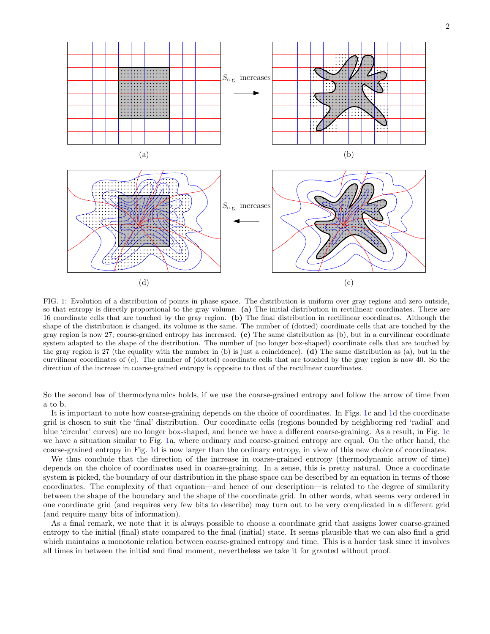

<span id="page-1-0"></span>FIG. 1: Evolution of a distribution of points in phase space. The distribution is uniform over gray regions and zero outside, so that entropy is directly proportional to the gray volume. (a) The initial distribution in rectilinear coordinates. There are 16 coordinate cells that are touched by the gray region. (b) The final distribution in rectilinear coordinates. Although the shape of the distribution is changed, its volume is the same. The number of (dotted) coordinate cells that are touched by the gray region is now 27; coarse-grained entropy has increased. (c) The same distribution as (b), but in a curvilinear coordinate system adapted to the shape of the distribution. The number of (no longer box-shaped) coordinate cells that are touched by the gray region is 27 (the equality with the number in  $(b)$  is just a coincidence). (d) The same distribution as  $(a)$ , but in the curvilinear coordinates of (c). The number of (dotted) coordinate cells that are touched by the gray region is now 40. So the direction of the increase in coarse-grained entropy is opposite to that of the rectilinear coordinates.

So the second law of thermodynamics holds, if we use the coarse-grained entropy and follow the arrow of time from a to b.

It is important to note how coarse-graining depends on the choice of coordinates. In Figs. [1c](#page-1-0) and [1d](#page-1-0) the coordinate grid is chosen to suit the 'final' distribution. Our coordinate cells (regions bounded by neighboring red 'radial' and blue 'circular' curves) are no longer box-shaped, and hence we have a different coarse-graining. As a result, in Fig. [1c](#page-1-0) we have a situation similar to Fig. [1a](#page-1-0), where ordinary and coarse-grained entropy are equal. On the other hand, the coarse-grained entropy in Fig. [1d](#page-1-0) is now larger than the ordinary entropy, in view of this new choice of coordinates.

We thus conclude that the direction of the increase in coarse-grained entropy (thermodynamic arrow of time) depends on the choice of coordinates used in coarse-graining. In a sense, this is pretty natural. Once a coordinate system is picked, the boundary of our distribution in the phase space can be described by an equation in terms of those coordinates. The complexity of that equation—and hence of our description—is related to the degree of similarity between the shape of the boundary and the shape of the coordinate grid. In other words, what seems very ordered in one coordinate grid (and requires very few bits to describe) may turn out to be very complicated in a different grid (and require many bits of information).

As a final remark, we note that it is always possible to choose a coordinate grid that assigns lower coarse-grained entropy to the initial (final) state compared to the final (initial) state. It seems plausible that we can also find a grid which maintains a monotonic relation between coarse-grained entropy and time. This is a harder task since it involves all times in between the initial and final moment, nevertheless we take it for granted without proof.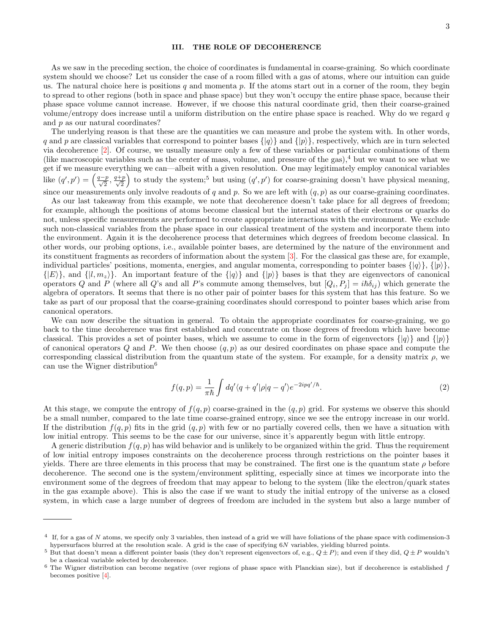#### <span id="page-2-0"></span>III. THE ROLE OF DECOHERENCE

As we saw in the preceding section, the choice of coordinates is fundamental in coarse-graining. So which coordinate system should we choose? Let us consider the case of a room filled with a gas of atoms, where our intuition can guide us. The natural choice here is positions q and momenta  $p$ . If the atoms start out in a corner of the room, they begin to spread to other regions (both in space and phase space) but they won't occupy the entire phase space, because their phase space volume cannot increase. However, if we choose this natural coordinate grid, then their coarse-grained volume/entropy does increase until a uniform distribution on the entire phase space is reached. Why do we regard  $q$ and p as our natural coordinates?

The underlying reason is that these are the quantities we can measure and probe the system with. In other words, q and p are classical variables that correspond to pointer bases  $\{q\}$  and  $\{p\}$ , respectively, which are in turn selected via decoherence [\[2\]](#page-3-2). Of course, we usually measure only a few of these variables or particular combinations of them (like macroscopic variables such as the center of mass, volume, and pressure of the gas),<sup>4</sup> but we want to see what we get if we measure everything we can—albeit with a given resolution. One may legitimately employ canonical variables like  $(q', p') = \left(\frac{q-p}{\sqrt{2}}, \frac{q+p}{\sqrt{2}}\right)$ 2 ) to study the system;<sup>5</sup> but using  $(q', p')$  for coarse-graining doesn't have physical meaning, since our measurements only involve readouts of q and p. So we are left with  $(q, p)$  as our coarse-graining coordinates.

As our last takeaway from this example, we note that decoherence doesn't take place for all degrees of freedom; for example, although the positions of atoms become classical but the internal states of their electrons or quarks do not, unless specific measurements are performed to create appropriate interactions with the environment. We exclude such non-classical variables from the phase space in our classical treatment of the system and incorporate them into the environment. Again it is the decoherence process that determines which degrees of freedom become classical. In other words, our probing options, i.e., available pointer bases, are determined by the nature of the environment and its constituent fragments as recorders of information about the system [\[3\]](#page-3-3). For the classical gas these are, for example, individual particles' positions, momenta, energies, and angular momenta, corresponding to pointer bases  $\{|\varphi\rangle\}$ ,  $\{|\varphi\rangle\}$ ,  $\{|E\rangle\}$ , and  $\{|l, m_z\rangle\}$ . An important feature of the  $\{|q\rangle\}$  and  $\{|p\rangle\}$  bases is that they are eigenvectors of canonical operators Q and P (where all Q's and all P's commute among themselves, but  $[Q_i, P_j] = i\hbar \delta_{ij}$ ) which generate the algebra of operators. It seems that there is no other pair of pointer bases for this system that has this feature. So we take as part of our proposal that the coarse-graining coordinates should correspond to pointer bases which arise from canonical operators.

We can now describe the situation in general. To obtain the appropriate coordinates for coarse-graining, we go back to the time decoherence was first established and concentrate on those degrees of freedom which have become classical. This provides a set of pointer bases, which we assume to come in the form of eigenvectors  $\{|q\rangle\}$  and  $\{|p\rangle\}$ of canonical operators  $Q$  and  $P$ . We then choose  $(q, p)$  as our desired coordinates on phase space and compute the corresponding classical distribution from the quantum state of the system. For example, for a density matrix  $\rho$ , we can use the Wigner distribution<sup>6</sup>

$$
f(q,p) = \frac{1}{\pi \hbar} \int dq' \langle q + q' | \rho | q - q' \rangle e^{-2ipq'/\hbar}.
$$
 (2)

At this stage, we compute the entropy of  $f(q, p)$  coarse-grained in the  $(q, p)$  grid. For systems we observe this should be a small number, compared to the late time coarse-grained entropy, since we see the entropy increase in our world. If the distribution  $f(q, p)$  fits in the grid  $(q, p)$  with few or no partially covered cells, then we have a situation with low initial entropy. This seems to be the case for our universe, since it's apparently begun with little entropy.

A generic distribution  $f(q, p)$  has wild behavior and is unlikely to be organized within the grid. Thus the requirement of low initial entropy imposes constraints on the decoherence process through restrictions on the pointer bases it yields. There are three elements in this process that may be constrained. The first one is the quantum state  $\rho$  before decoherence. The second one is the system/environment splitting, especially since at times we incorporate into the environment some of the degrees of freedom that may appear to belong to the system (like the electron/quark states in the gas example above). This is also the case if we want to study the initial entropy of the universe as a closed system, in which case a large number of degrees of freedom are included in the system but also a large number of

 $4\;$  If, for a gas of N atoms, we specify only 3 variables, then instead of a grid we will have foliations of the phase space with codimension-3 hypersurfaces blurred at the resolution scale. A grid is the case of specifying 6N variables, yielding blurred points.

<sup>&</sup>lt;sup>5</sup> But that doesn't mean a different pointer basis (they don't represent eigenvectors of, e.g.,  $Q \pm P$ ); and even if they did,  $Q \pm P$  wouldn't be a classical variable selected by decoherence.

 $6$  The Wigner distribution can become negative (over regions of phase space with Planckian size), but if decoherence is established  $f$ becomes positive [\[4\]](#page-3-4).